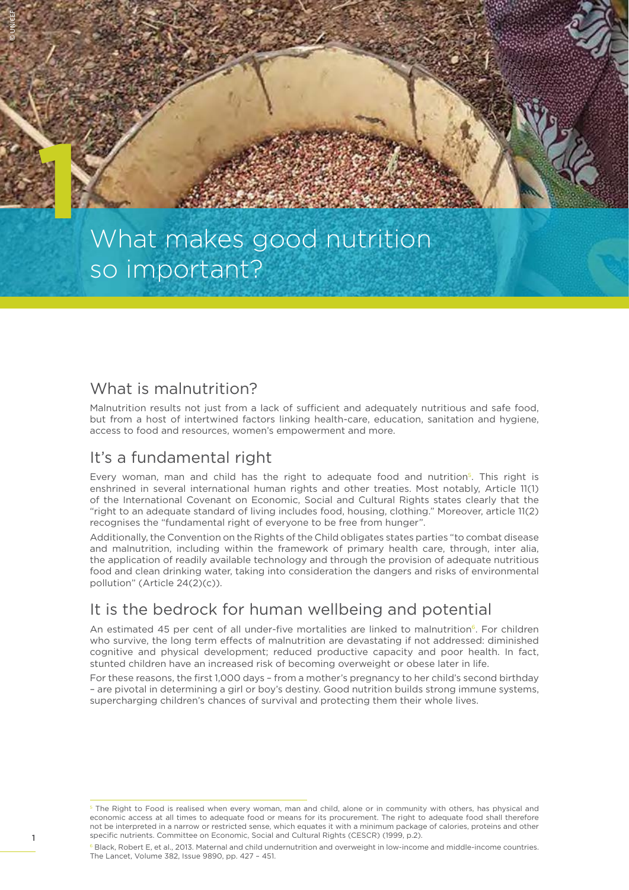

# What makes good nutrition so important?

#### What is malnutrition?

Malnutrition results not just from a lack of sufficient and adequately nutritious and safe food, but from a host of intertwined factors linking health-care, education, sanitation and hygiene, access to food and resources, women's empowerment and more.

#### It's a fundamental right

Every woman, man and child has the right to adequate food and nutrition<sup>5</sup>. This right is enshrined in several international human rights and other treaties. Most notably, Article 11(1) of the International Covenant on Economic, Social and Cultural Rights states clearly that the "right to an adequate standard of living includes food, housing, clothing." Moreover, article 11(2) recognises the "fundamental right of everyone to be free from hunger".

Additionally, the Convention on the Rights of the Child obligates states parties "to combat disease and malnutrition, including within the framework of primary health care, through, inter alia, the application of readily available technology and through the provision of adequate nutritious food and clean drinking water, taking into consideration the dangers and risks of environmental pollution" (Article 24(2)(c)).

## It is the bedrock for human wellbeing and potential

An estimated 45 per cent of all under-five mortalities are linked to malnutrition<sup>6</sup>. For children who survive, the long term effects of malnutrition are devastating if not addressed: diminished cognitive and physical development; reduced productive capacity and poor health. In fact, stunted children have an increased risk of becoming overweight or obese later in life.

For these reasons, the first 1,000 days – from a mother's pregnancy to her child's second birthday – are pivotal in determining a girl or boy's destiny. Good nutrition builds strong immune systems, supercharging children's chances of survival and protecting them their whole lives.

<sup>&</sup>lt;sup>5</sup> The Right to Food is realised when every woman, man and child, alone or in community with others, has physical and economic access at all times to adequate food or means for its procurement. The right to adequate food shall therefore not be interpreted in a narrow or restricted sense, which equates it with a minimum package of calories, proteins and other specific nutrients. Committee on Economic, Social and Cultural Rights (CESCR) (1999, p.2).

<sup>&</sup>lt;sup>6</sup> Black. Robert E, et al., 2013. Maternal and child undernutrition and overweight in low-income and middle-income countries. The Lancet, Volume 382, Issue 9890, pp. 427 – 451.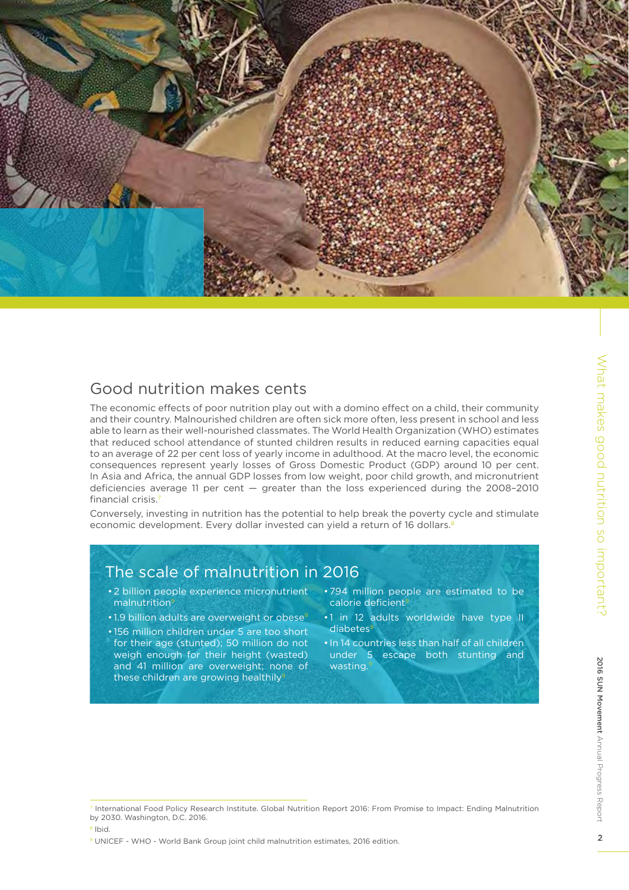

### Good nutrition makes cents

The economic effects of poor nutrition play out with a domino effect on a child, their community and their country. Malnourished children are often sick more often, less present in school and less able to learn as their well-nourished classmates. The World Health Organization (WHO) estimates that reduced school attendance of stunted children results in reduced earning capacities equal to an average of 22 per cent loss of yearly income in adulthood. At the macro level, the economic consequences represent yearly losses of Gross Domestic Product (GDP) around 10 per cent. In Asia and Africa, the annual GDP losses from low weight, poor child growth, and micronutrient deficiencies average 11 per cent — greater than the loss experienced during the 2008–2010 financial crisis.<sup>7</sup>

Conversely, investing in nutrition has the potential to help break the poverty cycle and stimulate economic development. Every dollar invested can yield a return of 16 dollars.<sup>8</sup>

# The scale of malnutrition in 2016

- 2 billion people experience micronutrient malnutrition<sup>9</sup>
- 1.9 billion adults are overweight or obese<sup>9</sup>
- 156 million children under 5 are too short for their age (stunted); 50 million do not weigh enough for their height (wasted) and 41 million are overweight; none of these children are growing healthily<sup>5</sup>
- 794 million people are estimated to be calorie deficient<sup>s</sup>
- 1 in 12 adults worldwide have type II diabetes
- In 14 countries less than half of all children under 5 escape both stunting and wasting.<sup>9</sup>

<sup>7</sup> International Food Policy Research Institute. Global Nutrition Report 2016: From Promise to Impact: Ending Malnutrition by 2030. Washington, D.C. 2016.

<sup>8</sup> Ibid.

<sup>&</sup>lt;sup>9</sup> UNICEF - WHO - World Bank Group joint child malnutrition estimates, 2016 edition.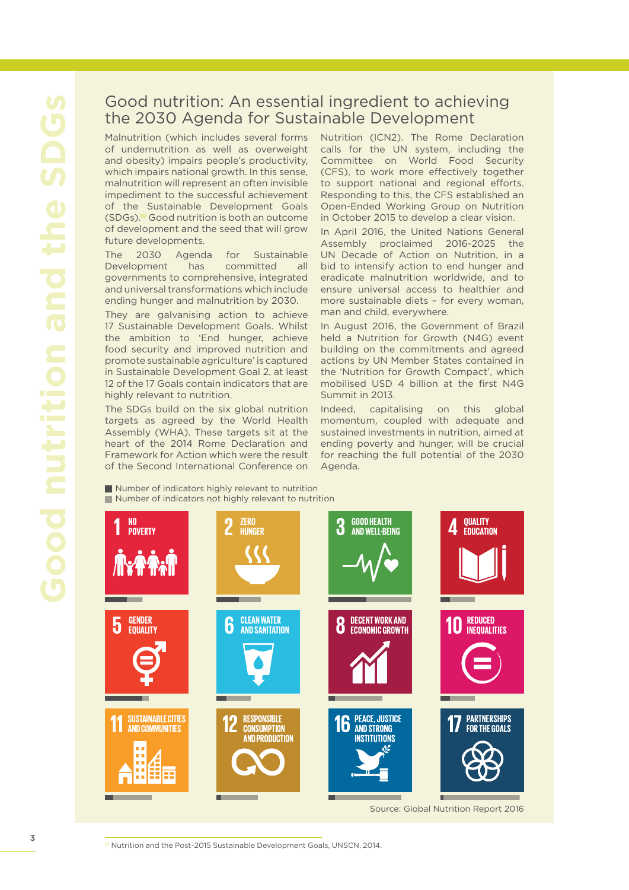#### Good nutrition: An essential ingredient to achieving the 2030 Agenda for Sustainable Development

Malnutrition (which includes several forms of undernutrition as well as overweight and obesity) impairs people's productivity, which impairs national growth. In this sense, malnutrition will represent an often invisible impediment to the successful achievement of the Sustainable Development Goals (SDGs).10 Good nutrition is both an outcome of development and the seed that will grow future developments.

The 2030 Agenda for Sustainable Development has committed all governments to comprehensive, integrated and universal transformations which include ending hunger and malnutrition by 2030.

They are galvanising action to achieve 17 Sustainable Development Goals. Whilst the ambition to 'End hunger, achieve food security and improved nutrition and promote sustainable agriculture' is captured in Sustainable Development Goal 2, at least 12 of the 17 Goals contain indicators that are highly relevant to nutrition.

The SDGs build on the six global nutrition targets as agreed by the World Health Assembly (WHA). These targets sit at the heart of the 2014 Rome Declaration and Framework for Action which were the result of the Second International Conference on Nutrition (ICN2). The Rome Declaration calls for the UN system, including the Committee on World Food Security (CFS), to work more effectively together to support national and regional efforts. Responding to this, the CFS established an Open-Ended Working Group on Nutrition in October 2015 to develop a clear vision.

In April 2016, the United Nations General Assembly proclaimed 2016-2025 the UN Decade of Action on Nutrition, in a bid to intensify action to end hunger and eradicate malnutrition worldwide, and to ensure universal access to healthier and more sustainable diets – for every woman, man and child, everywhere.

In August 2016, the Government of Brazil held a Nutrition for Growth (N4G) event building on the commitments and agreed actions by UN Member States contained in the 'Nutrition for Growth Compact', which mobilised USD 4 billion at the first N4G Summit in 2013.

Indeed, capitalising on this global momentum, coupled with adequate and sustained investments in nutrition, aimed at ending poverty and hunger, will be crucial for reaching the full potential of the 2030 Agenda.

Number of indicators highly relevant to nutrition Number of indicators not highly relevant to nutrition